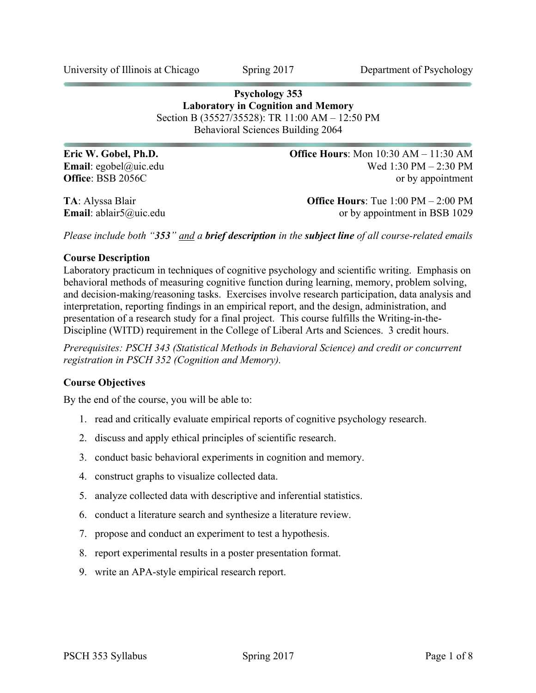University of Illinois at Chicago Spring 2017 Department of Psychology

# **Psychology 353 Laboratory in Cognition and Memory** Section B (35527/35528): TR 11:00 AM – 12:50 PM Behavioral Sciences Building 2064

**Eric W. Gobel, Ph.D. Office Hours**: Mon 10:30 AM – 11:30 AM **Email**: egobel@uic.edu Wed 1:30 PM – 2:30 PM **Office**: BSB 2056C or by appointment

**TA**: Alyssa Blair **Office Hours**: Tue 1:00 PM – 2:00 PM **Email**: ablair5@uic.edu or by appointment in BSB 1029

*Please include both "353" and a brief description in the subject line of all course-related emails*

### **Course Description**

Laboratory practicum in techniques of cognitive psychology and scientific writing. Emphasis on behavioral methods of measuring cognitive function during learning, memory, problem solving, and decision-making/reasoning tasks. Exercises involve research participation, data analysis and interpretation, reporting findings in an empirical report, and the design, administration, and presentation of a research study for a final project. This course fulfills the Writing-in-the-Discipline (WITD) requirement in the College of Liberal Arts and Sciences. 3 credit hours.

*Prerequisites: PSCH 343 (Statistical Methods in Behavioral Science) and credit or concurrent registration in PSCH 352 (Cognition and Memory).*

### **Course Objectives**

By the end of the course, you will be able to:

- 1. read and critically evaluate empirical reports of cognitive psychology research.
- 2. discuss and apply ethical principles of scientific research.
- 3. conduct basic behavioral experiments in cognition and memory.
- 4. construct graphs to visualize collected data.
- 5. analyze collected data with descriptive and inferential statistics.
- 6. conduct a literature search and synthesize a literature review.
- 7. propose and conduct an experiment to test a hypothesis.
- 8. report experimental results in a poster presentation format.
- 9. write an APA-style empirical research report.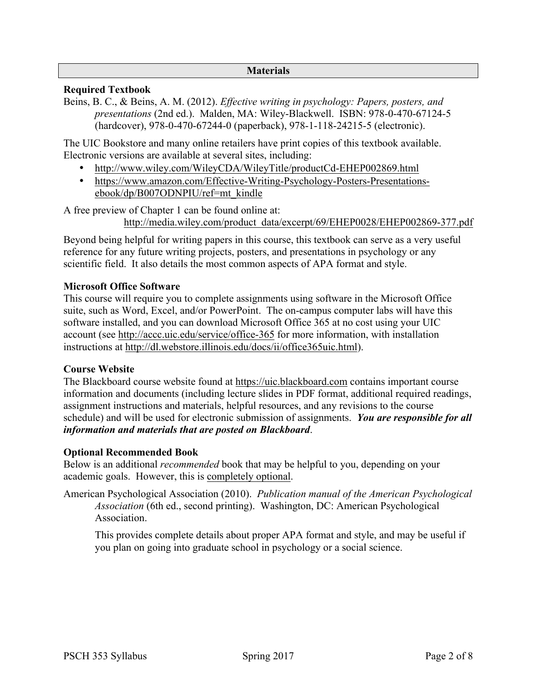#### **Materials**

# **Required Textbook**

Beins, B. C., & Beins, A. M. (2012). *Effective writing in psychology: Papers, posters, and presentations* (2nd ed.). Malden, MA: Wiley-Blackwell. ISBN: 978-0-470-67124-5 (hardcover), 978-0-470-67244-0 (paperback), 978-1-118-24215-5 (electronic).

The UIC Bookstore and many online retailers have print copies of this textbook available. Electronic versions are available at several sites, including:

- http://www.wiley.com/WileyCDA/WileyTitle/productCd-EHEP002869.html
- https://www.amazon.com/Effective-Writing-Psychology-Posters-Presentationsebook/dp/B007ODNPIU/ref=mt\_kindle

A free preview of Chapter 1 can be found online at:

http://media.wiley.com/product\_data/excerpt/69/EHEP0028/EHEP002869-377.pdf

Beyond being helpful for writing papers in this course, this textbook can serve as a very useful reference for any future writing projects, posters, and presentations in psychology or any scientific field. It also details the most common aspects of APA format and style.

# **Microsoft Office Software**

This course will require you to complete assignments using software in the Microsoft Office suite, such as Word, Excel, and/or PowerPoint. The on-campus computer labs will have this software installed, and you can download Microsoft Office 365 at no cost using your UIC account (see http://accc.uic.edu/service/office-365 for more information, with installation instructions at http://dl.webstore.illinois.edu/docs/ii/office365uic.html).

### **Course Website**

The Blackboard course website found at https://uic.blackboard.com contains important course information and documents (including lecture slides in PDF format, additional required readings, assignment instructions and materials, helpful resources, and any revisions to the course schedule) and will be used for electronic submission of assignments. *You are responsible for all information and materials that are posted on Blackboard*.

### **Optional Recommended Book**

Below is an additional *recommended* book that may be helpful to you, depending on your academic goals. However, this is completely optional.

American Psychological Association (2010). *Publication manual of the American Psychological Association* (6th ed., second printing). Washington, DC: American Psychological Association.

This provides complete details about proper APA format and style, and may be useful if you plan on going into graduate school in psychology or a social science.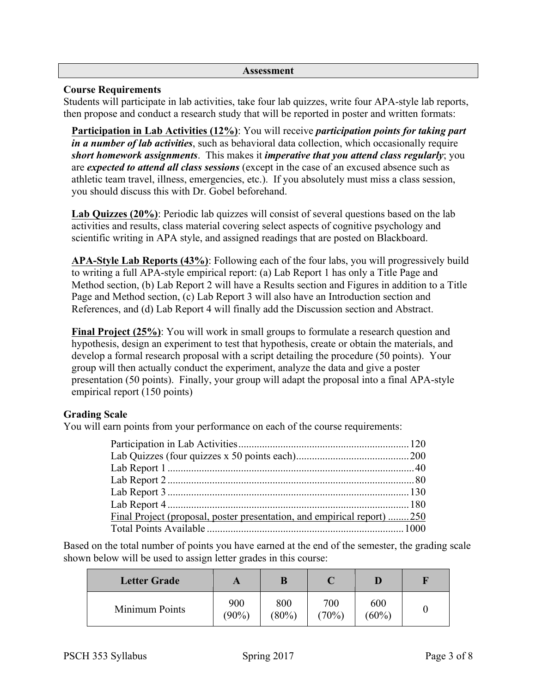#### **Assessment**

# **Course Requirements**

Students will participate in lab activities, take four lab quizzes, write four APA-style lab reports, then propose and conduct a research study that will be reported in poster and written formats:

**Participation in Lab Activities (12%)**: You will receive *participation points for taking part in a number of lab activities*, such as behavioral data collection, which occasionally require *short homework assignments*. This makes it *imperative that you attend class regularly*; you are *expected to attend all class sessions* (except in the case of an excused absence such as athletic team travel, illness, emergencies, etc.). If you absolutely must miss a class session, you should discuss this with Dr. Gobel beforehand.

**Lab Quizzes (20%)**: Periodic lab quizzes will consist of several questions based on the lab activities and results, class material covering select aspects of cognitive psychology and scientific writing in APA style, and assigned readings that are posted on Blackboard.

**APA-Style Lab Reports (43%)**: Following each of the four labs, you will progressively build to writing a full APA-style empirical report: (a) Lab Report 1 has only a Title Page and Method section, (b) Lab Report 2 will have a Results section and Figures in addition to a Title Page and Method section, (c) Lab Report 3 will also have an Introduction section and References, and (d) Lab Report 4 will finally add the Discussion section and Abstract.

**Final Project (25%)**: You will work in small groups to formulate a research question and hypothesis, design an experiment to test that hypothesis, create or obtain the materials, and develop a formal research proposal with a script detailing the procedure (50 points). Your group will then actually conduct the experiment, analyze the data and give a poster presentation (50 points). Finally, your group will adapt the proposal into a final APA-style empirical report (150 points)

# **Grading Scale**

You will earn points from your performance on each of the course requirements:

| Final Project (proposal, poster presentation, and empirical report) 250 |  |
|-------------------------------------------------------------------------|--|
|                                                                         |  |

Based on the total number of points you have earned at the end of the semester, the grading scale shown below will be used to assign letter grades in this course:

| <b>Letter Grade</b> |                 | B               |              |                 |  |
|---------------------|-----------------|-----------------|--------------|-----------------|--|
| Minimum Points      | 900<br>$(90\%)$ | 800<br>$(80\%)$ | 700<br>(70%) | 600<br>$(60\%)$ |  |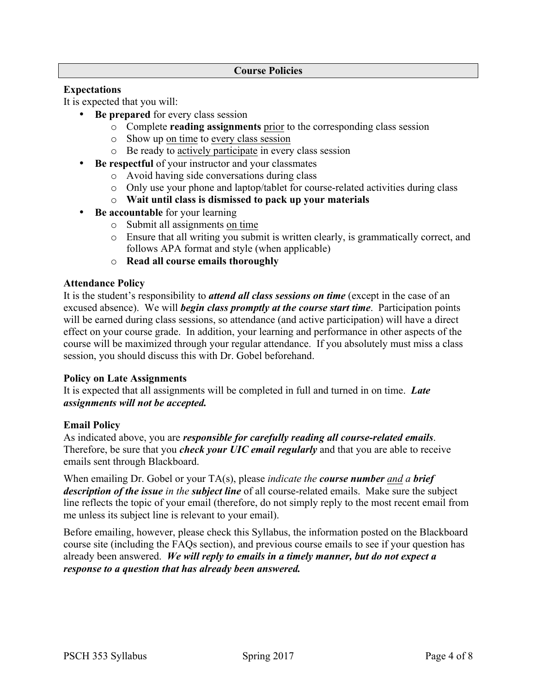# **Expectations**

It is expected that you will:

- **Be prepared** for every class session
	- o Complete **reading assignments** prior to the corresponding class session
	- o Show up on time to every class session
	- o Be ready to actively participate in every class session
- **Be respectful** of your instructor and your classmates
	- o Avoid having side conversations during class
	- o Only use your phone and laptop/tablet for course-related activities during class
	- o **Wait until class is dismissed to pack up your materials**
- **Be accountable** for your learning
	- o Submit all assignments on time
	- o Ensure that all writing you submit is written clearly, is grammatically correct, and follows APA format and style (when applicable)
	- o **Read all course emails thoroughly**

### **Attendance Policy**

It is the student's responsibility to *attend all class sessions on time* (except in the case of an excused absence). We will *begin class promptly at the course start time*. Participation points will be earned during class sessions, so attendance (and active participation) will have a direct effect on your course grade. In addition, your learning and performance in other aspects of the course will be maximized through your regular attendance. If you absolutely must miss a class session, you should discuss this with Dr. Gobel beforehand.

### **Policy on Late Assignments**

It is expected that all assignments will be completed in full and turned in on time. *Late assignments will not be accepted.*

### **Email Policy**

As indicated above, you are *responsible for carefully reading all course-related emails*. Therefore, be sure that you *check your UIC email regularly* and that you are able to receive emails sent through Blackboard.

When emailing Dr. Gobel or your TA(s), please *indicate the course number and a brief description of the issue in the subject line* of all course-related emails. Make sure the subject line reflects the topic of your email (therefore, do not simply reply to the most recent email from me unless its subject line is relevant to your email).

Before emailing, however, please check this Syllabus, the information posted on the Blackboard course site (including the FAQs section), and previous course emails to see if your question has already been answered. *We will reply to emails in a timely manner, but do not expect a response to a question that has already been answered.*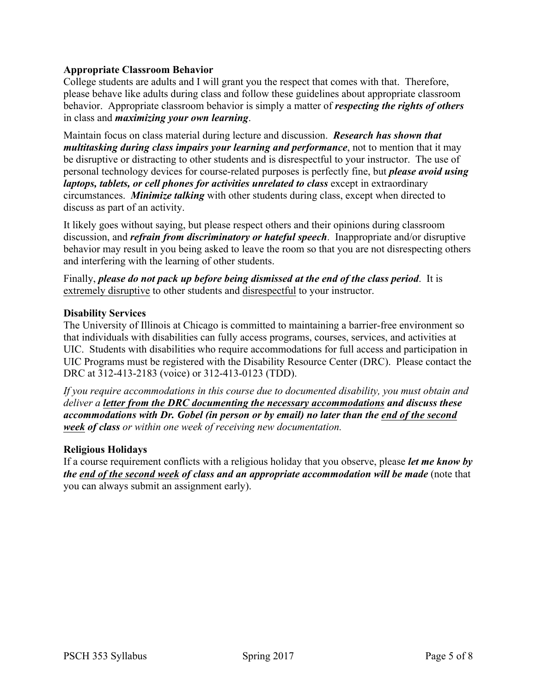# **Appropriate Classroom Behavior**

College students are adults and I will grant you the respect that comes with that. Therefore, please behave like adults during class and follow these guidelines about appropriate classroom behavior. Appropriate classroom behavior is simply a matter of *respecting the rights of others* in class and *maximizing your own learning*.

Maintain focus on class material during lecture and discussion. *Research has shown that multitasking during class impairs your learning and performance*, not to mention that it may be disruptive or distracting to other students and is disrespectful to your instructor. The use of personal technology devices for course-related purposes is perfectly fine, but *please avoid using laptops, tablets, or cell phones for activities unrelated to class* except in extraordinary circumstances. *Minimize talking* with other students during class, except when directed to discuss as part of an activity.

It likely goes without saying, but please respect others and their opinions during classroom discussion, and *refrain from discriminatory or hateful speech*. Inappropriate and/or disruptive behavior may result in you being asked to leave the room so that you are not disrespecting others and interfering with the learning of other students.

Finally, *please do not pack up before being dismissed at the end of the class period*. It is extremely disruptive to other students and disrespectful to your instructor.

### **Disability Services**

The University of Illinois at Chicago is committed to maintaining a barrier-free environment so that individuals with disabilities can fully access programs, courses, services, and activities at UIC. Students with disabilities who require accommodations for full access and participation in UIC Programs must be registered with the Disability Resource Center (DRC). Please contact the DRC at 312-413-2183 (voice) or 312-413-0123 (TDD).

*If you require accommodations in this course due to documented disability, you must obtain and deliver a letter from the DRC documenting the necessary accommodations and discuss these accommodations with Dr. Gobel (in person or by email) no later than the end of the second week of class or within one week of receiving new documentation.*

### **Religious Holidays**

If a course requirement conflicts with a religious holiday that you observe, please *let me know by the end of the second week of class and an appropriate accommodation will be made* (note that you can always submit an assignment early).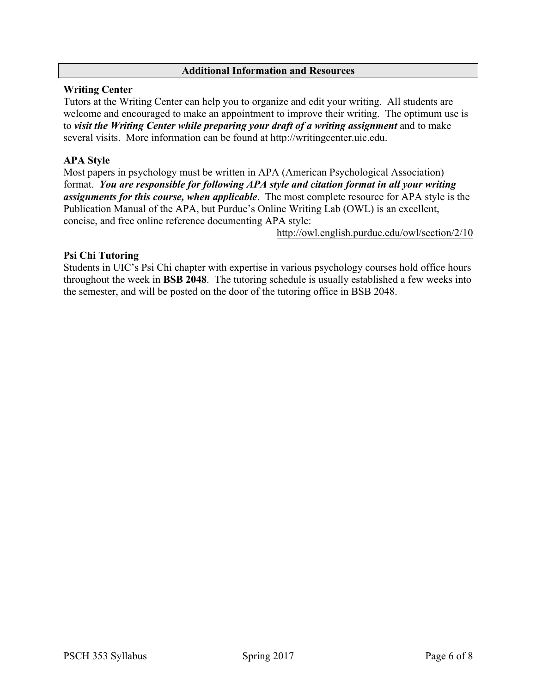### **Additional Information and Resources**

# **Writing Center**

Tutors at the Writing Center can help you to organize and edit your writing. All students are welcome and encouraged to make an appointment to improve their writing. The optimum use is to *visit the Writing Center while preparing your draft of a writing assignment* and to make several visits. More information can be found at http://writingcenter.uic.edu.

# **APA Style**

Most papers in psychology must be written in APA (American Psychological Association) format. *You are responsible for following APA style and citation format in all your writing assignments for this course, when applicable*. The most complete resource for APA style is the Publication Manual of the APA, but Purdue's Online Writing Lab (OWL) is an excellent, concise, and free online reference documenting APA style:

http://owl.english.purdue.edu/owl/section/2/10

# **Psi Chi Tutoring**

Students in UIC's Psi Chi chapter with expertise in various psychology courses hold office hours throughout the week in **BSB 2048**. The tutoring schedule is usually established a few weeks into the semester, and will be posted on the door of the tutoring office in BSB 2048.